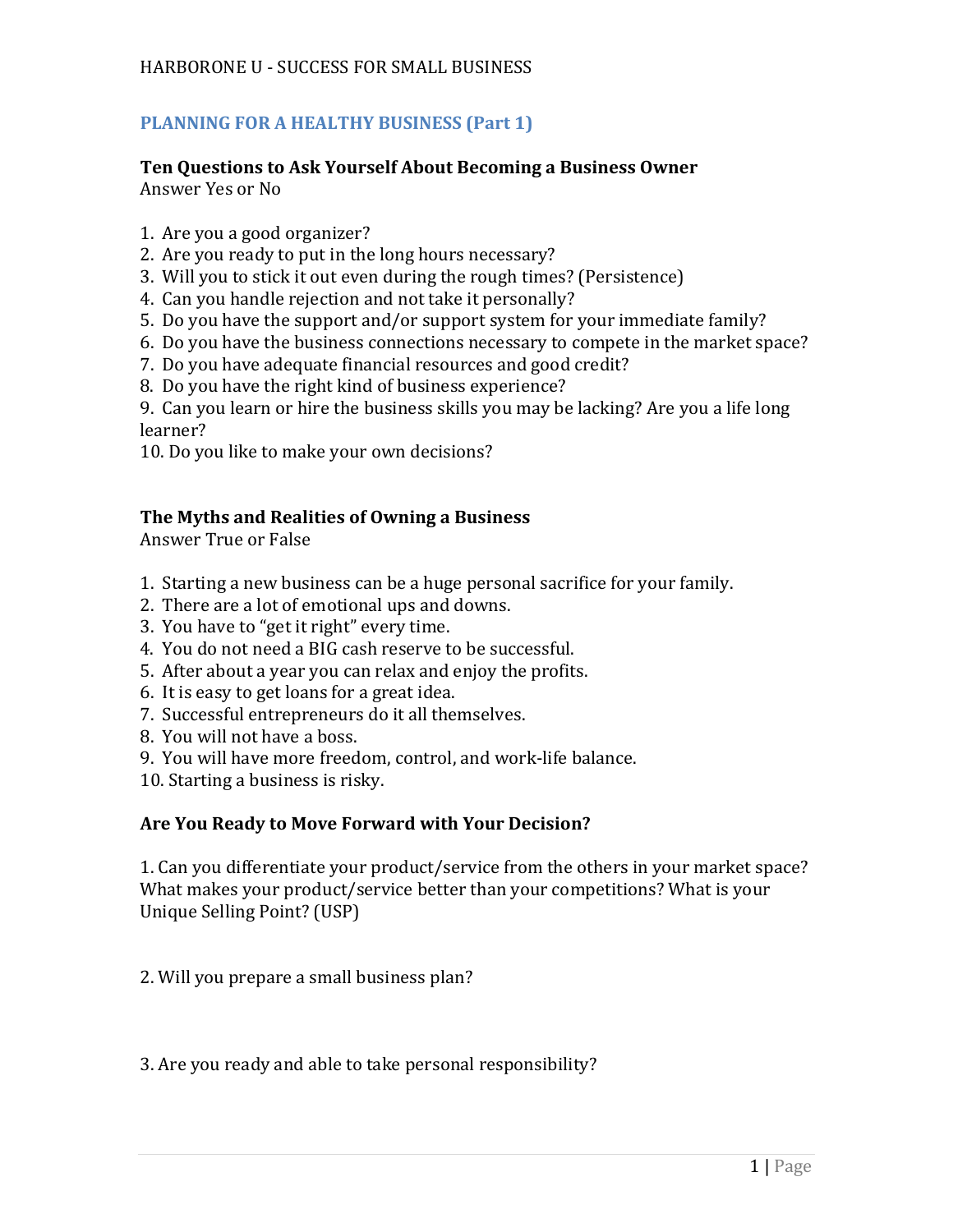# **PLANNING FOR A HEALTHY BUSINESS (Part 1)**

# **Ten Questions to Ask Yourself About Becoming a Business Owner** Answer Yes or No

- 1. Are you a good organizer?
- 2. Are you ready to put in the long hours necessary?
- 3. Will you to stick it out even during the rough times? (Persistence)
- 4. Can you handle rejection and not take it personally?
- 5. Do you have the support and/or support system for your immediate family?
- 6. Do you have the business connections necessary to compete in the market space?
- 7. Do you have adequate financial resources and good credit?
- 8. Do you have the right kind of business experience?

9. Can you learn or hire the business skills you may be lacking? Are you a life long learner?

10. Do you like to make your own decisions?

# **The Myths and Realities of Owning a Business**

Answer True or False

- 1. Starting a new business can be a huge personal sacrifice for your family.
- 2. There are a lot of emotional ups and downs.
- 3. You have to "get it right" every time.
- 4. You do not need a BIG cash reserve to be successful.
- 5. After about a year you can relax and enjoy the profits.
- 6. It is easy to get loans for a great idea.
- 7. Successful entrepreneurs do it all themselves.
- 8. You will not have a boss.
- 9. You will have more freedom, control, and work-life balance.
- 10. Starting a business is risky.

# **Are You Ready to Move Forward with Your Decision?**

1. Can you differentiate your product/service from the others in your market space? What makes your product/service better than your competitions? What is your Unique Selling Point? (USP)

2. Will you prepare a small business plan?

3. Are you ready and able to take personal responsibility?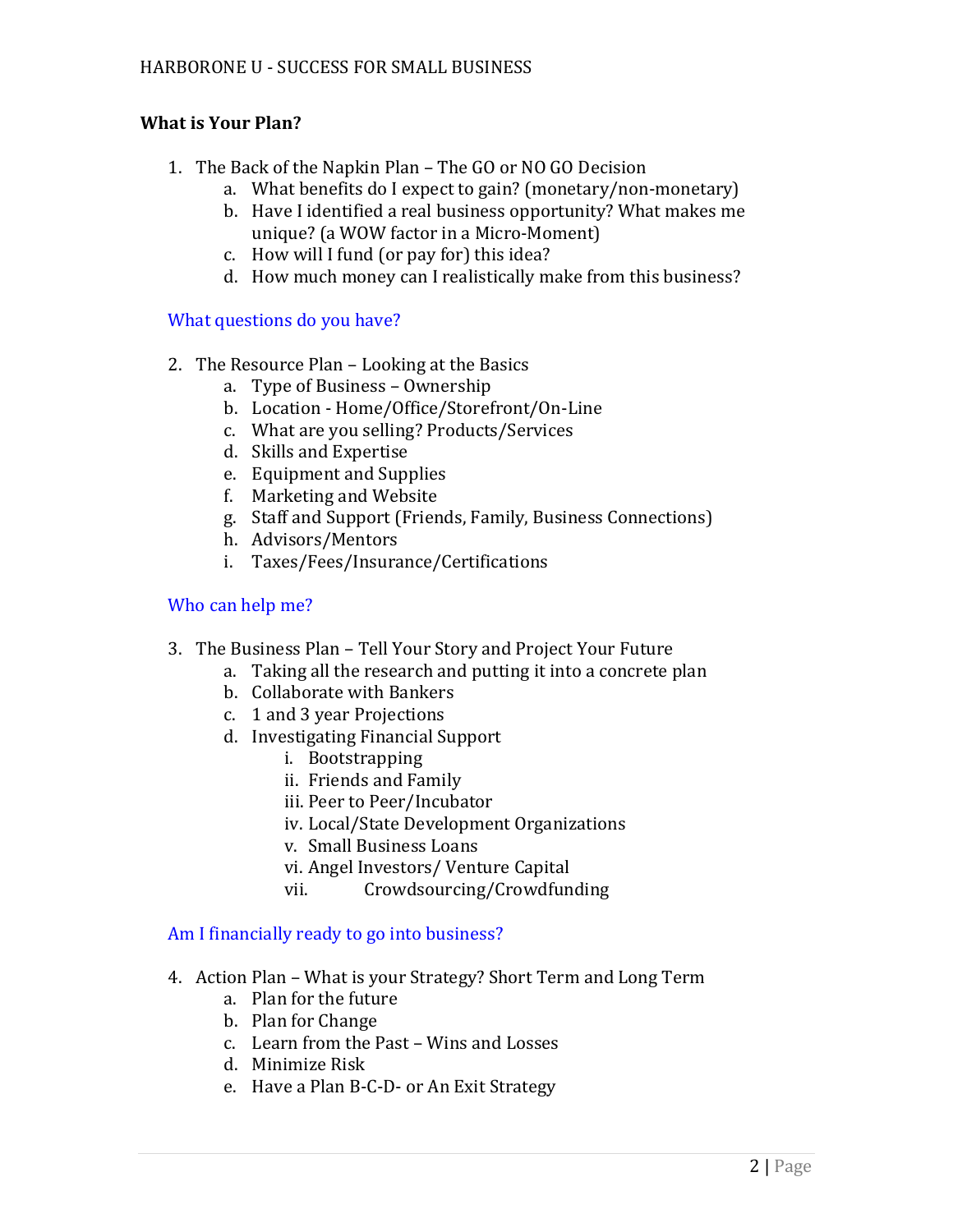# **What is Your Plan?**

- 1. The Back of the Napkin Plan The GO or NO GO Decision
	- a. What benefits do I expect to gain? (monetary/non-monetary)
	- b. Have I identified a real business opportunity? What makes me unique? (a WOW factor in a Micro-Moment)
	- c. How will I fund (or pay for) this idea?
	- d. How much money can I realistically make from this business?

# What questions do you have?

- 2. The Resource Plan Looking at the Basics
	- a. Type of Business Ownership
	- b. Location Home/Office/Storefront/On-Line
	- c. What are you selling? Products/Services
	- d. Skills and Expertise
	- e. Equipment and Supplies
	- f. Marketing and Website
	- g. Staff and Support (Friends, Family, Business Connections)
	- h. Advisors/Mentors
	- i. Taxes/Fees/Insurance/Certifications

# Who can help me?

- 3. The Business Plan Tell Your Story and Project Your Future
	- a. Taking all the research and putting it into a concrete plan
	- b. Collaborate with Bankers
	- c. 1 and 3 year Projections
	- d. Investigating Financial Support
		- i. Bootstrapping
		- ii. Friends and Family
		- iii. Peer to Peer/Incubator
		- iv. Local/State Development Organizations
		- v. Small Business Loans
		- vi. Angel Investors/ Venture Capital
		- vii. Crowdsourcing/Crowdfunding

# Am I financially ready to go into business?

- 4. Action Plan What is your Strategy? Short Term and Long Term
	- a. Plan for the future
	- b. Plan for Change
	- c. Learn from the Past Wins and Losses
	- d. Minimize Risk
	- e. Have a Plan B-C-D- or An Exit Strategy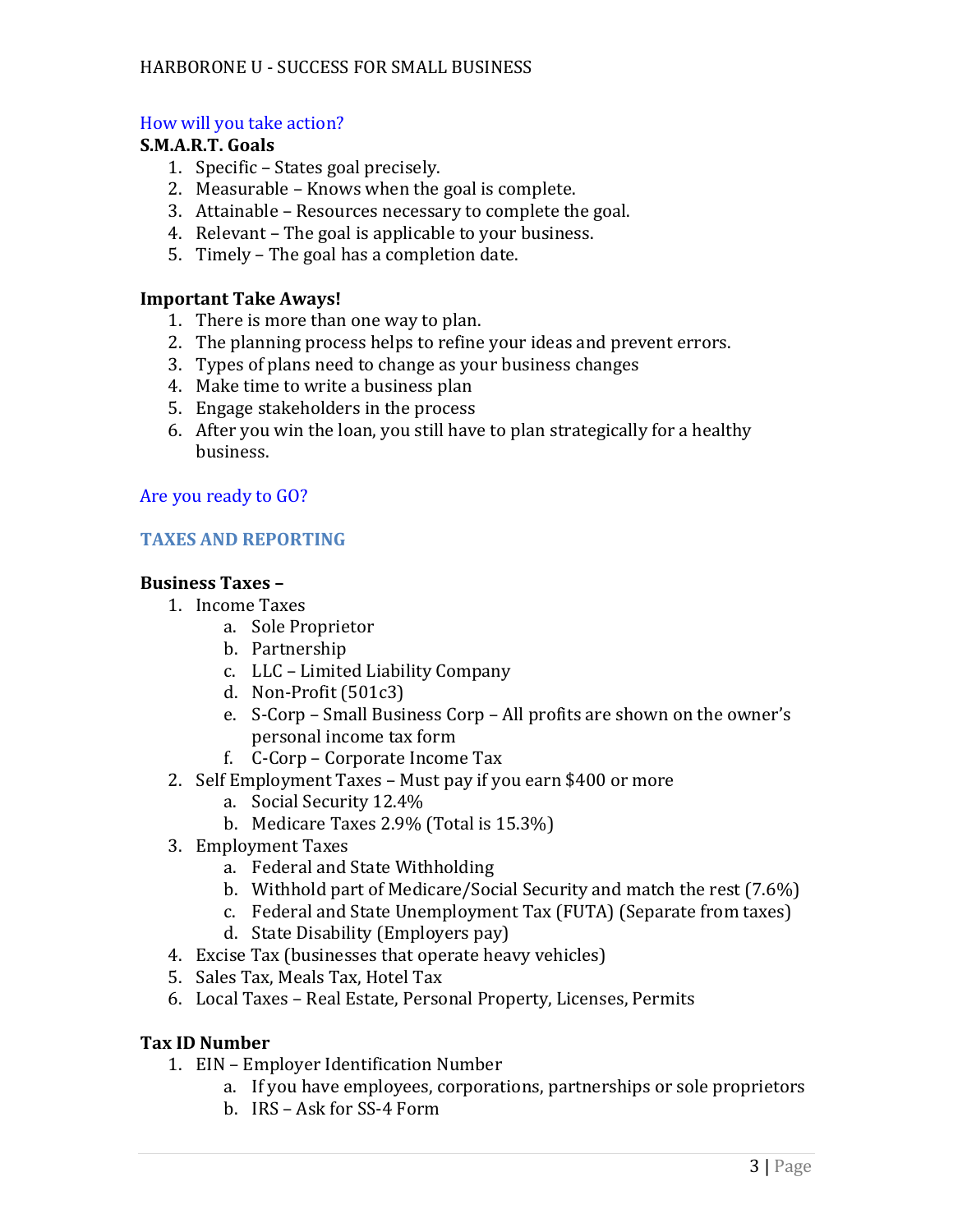# How will you take action?

#### **S.M.A.R.T. Goals**

- 1. Specific States goal precisely.
- 2. Measurable Knows when the goal is complete.
- 3. Attainable Resources necessary to complete the goal.
- 4. Relevant The goal is applicable to your business.
- 5. Timely The goal has a completion date.

# **Important Take Aways!**

- 1. There is more than one way to plan.
- 2. The planning process helps to refine your ideas and prevent errors.
- 3. Types of plans need to change as your business changes
- 4. Make time to write a business plan
- 5. Engage stakeholders in the process
- 6. After you win the loan, you still have to plan strategically for a healthy business.

# Are you ready to GO?

# **TAXES AND REPORTING**

# **Business Taxes –**

- 1. Income Taxes
	- a. Sole Proprietor
	- b. Partnership
	- c. LLC Limited Liability Company
	- d. Non-Profit (501c3)
	- e. S-Corp Small Business Corp All profits are shown on the owner's personal income tax form
	- f. C-Corp Corporate Income Tax
- 2. Self Employment Taxes Must pay if you earn \$400 or more
	- a. Social Security 12.4%
	- b. Medicare Taxes 2.9% (Total is 15.3%)
- 3. Employment Taxes
	- a. Federal and State Withholding
	- b. Withhold part of Medicare/Social Security and match the rest (7.6%)
	- c. Federal and State Unemployment Tax (FUTA) (Separate from taxes)
	- d. State Disability (Employers pay)
- 4. Excise Tax (businesses that operate heavy vehicles)
- 5. Sales Tax, Meals Tax, Hotel Tax
- 6. Local Taxes Real Estate, Personal Property, Licenses, Permits

# **Tax ID Number**

- 1. EIN Employer Identification Number
	- a. If you have employees, corporations, partnerships or sole proprietors
	- b. IRS Ask for SS-4 Form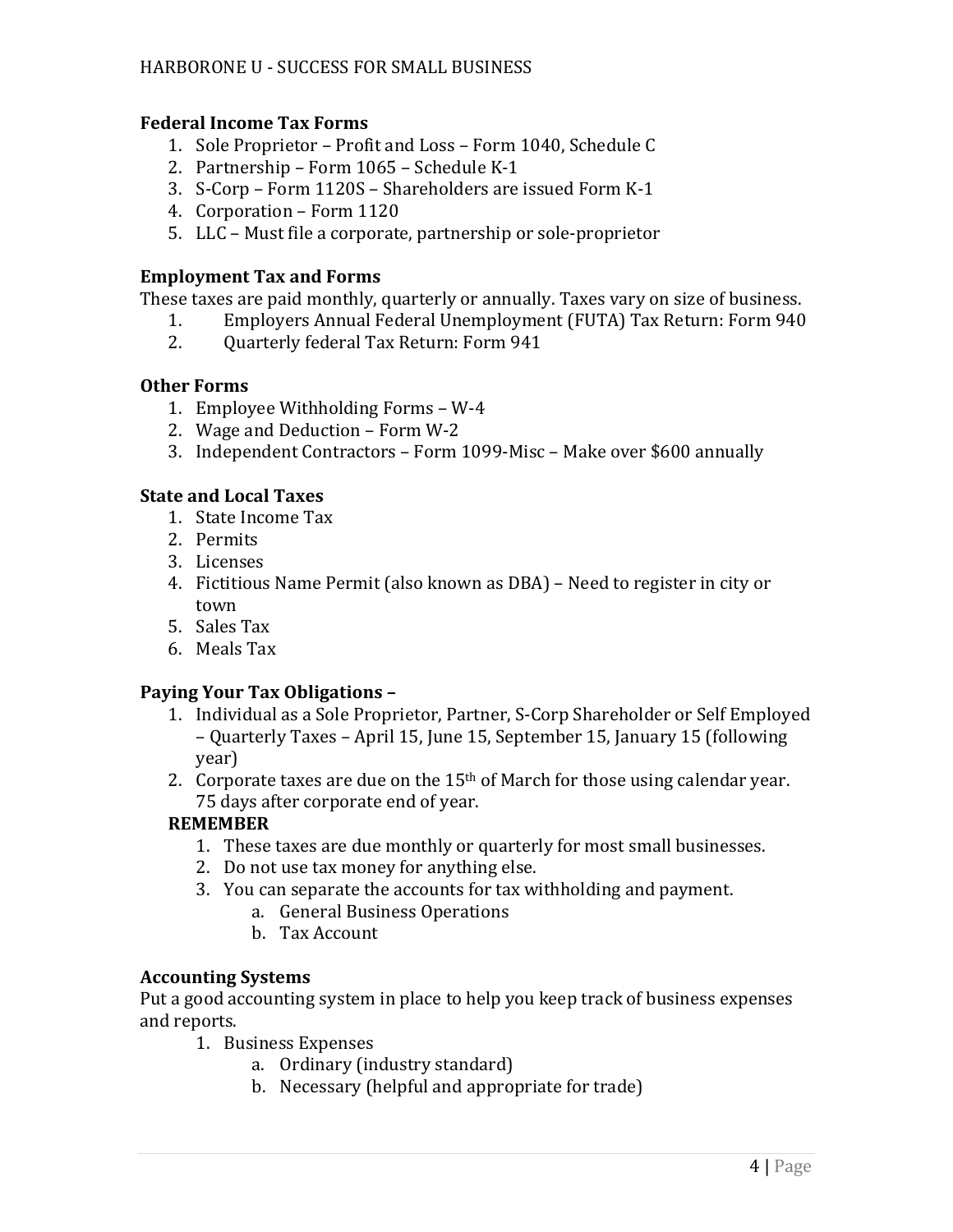# **Federal Income Tax Forms**

- 1. Sole Proprietor Profit and Loss Form 1040, Schedule C
- 2. Partnership Form 1065 Schedule K-1
- 3. S-Corp Form 1120S Shareholders are issued Form K-1
- 4. Corporation Form 1120
- 5. LLC Must file a corporate, partnership or sole-proprietor

# **Employment Tax and Forms**

These taxes are paid monthly, quarterly or annually. Taxes vary on size of business.

- 1. Employers Annual Federal Unemployment (FUTA) Tax Return: Form 940
- 2. Quarterly federal Tax Return: Form 941

# **Other Forms**

- 1. Employee Withholding Forms W-4
- 2. Wage and Deduction Form W-2
- 3. Independent Contractors Form 1099-Misc Make over \$600 annually

# **State and Local Taxes**

- 1. State Income Tax
- 2. Permits
- 3. Licenses
- 4. Fictitious Name Permit (also known as DBA) Need to register in city or town
- 5. Sales Tax
- 6. Meals Tax

# **Paying Your Tax Obligations –**

- 1. Individual as a Sole Proprietor, Partner, S-Corp Shareholder or Self Employed – Quarterly Taxes – April 15, June 15, September 15, January 15 (following year)
- 2. Corporate taxes are due on the  $15<sup>th</sup>$  of March for those using calendar year. 75 days after corporate end of year.

# **REMEMBER**

- 1. These taxes are due monthly or quarterly for most small businesses.
- 2. Do not use tax money for anything else.
- 3. You can separate the accounts for tax withholding and payment.
	- a. General Business Operations
	- b. Tax Account

# **Accounting Systems**

Put a good accounting system in place to help you keep track of business expenses and reports.

- 1. Business Expenses
	- a. Ordinary (industry standard)
	- b. Necessary (helpful and appropriate for trade)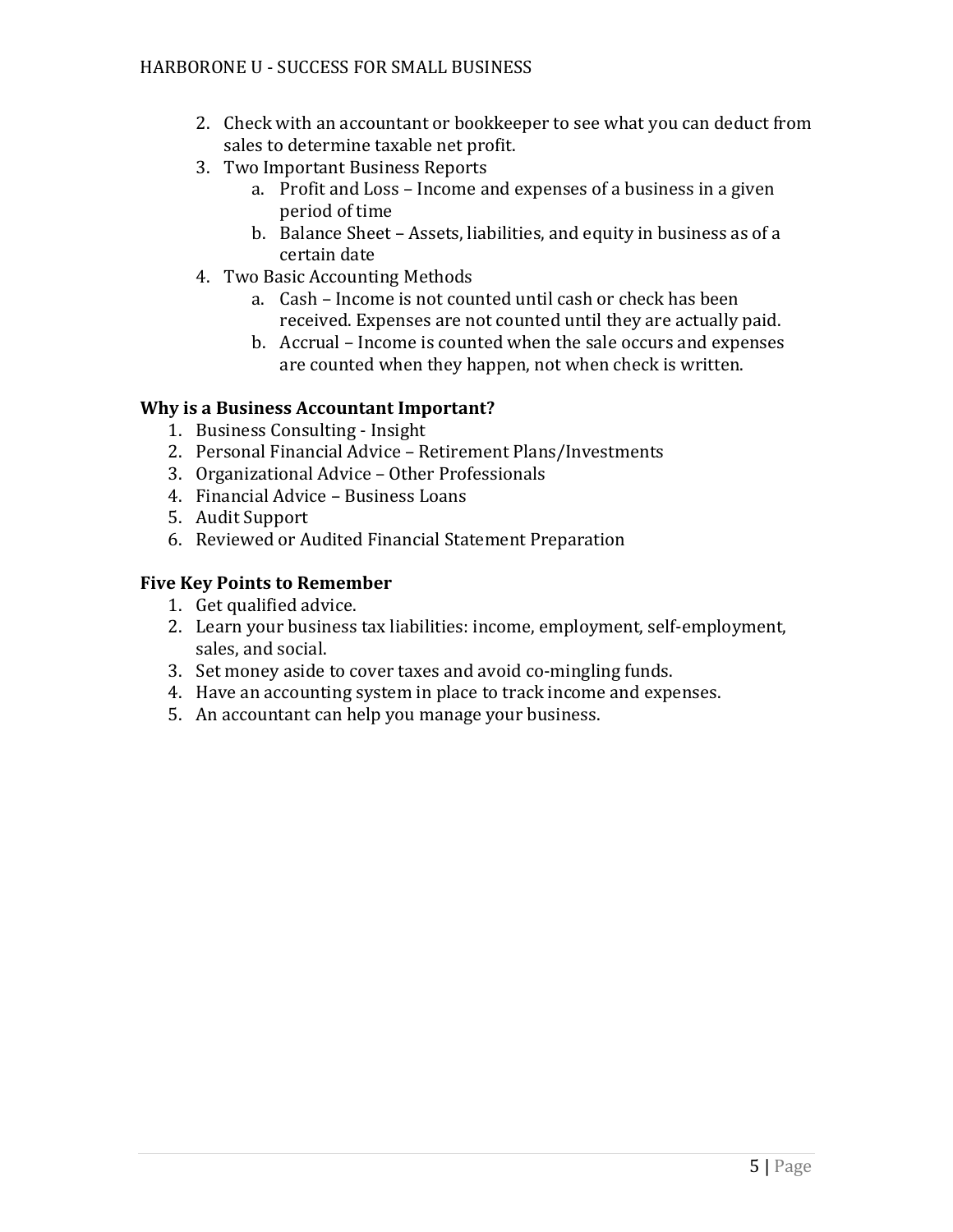- 2. Check with an accountant or bookkeeper to see what you can deduct from sales to determine taxable net profit.
- 3. Two Important Business Reports
	- a. Profit and Loss Income and expenses of a business in a given period of time
	- b. Balance Sheet Assets, liabilities, and equity in business as of a certain date
- 4. Two Basic Accounting Methods
	- a. Cash Income is not counted until cash or check has been received. Expenses are not counted until they are actually paid.
	- b. Accrual Income is counted when the sale occurs and expenses are counted when they happen, not when check is written.

# **Why is a Business Accountant Important?**

- 1. Business Consulting Insight
- 2. Personal Financial Advice Retirement Plans/Investments
- 3. Organizational Advice Other Professionals
- 4. Financial Advice Business Loans
- 5. Audit Support
- 6. Reviewed or Audited Financial Statement Preparation

# **Five Key Points to Remember**

- 1. Get qualified advice.
- 2. Learn your business tax liabilities: income, employment, self-employment, sales, and social.
- 3. Set money aside to cover taxes and avoid co-mingling funds.
- 4. Have an accounting system in place to track income and expenses.
- 5. An accountant can help you manage your business.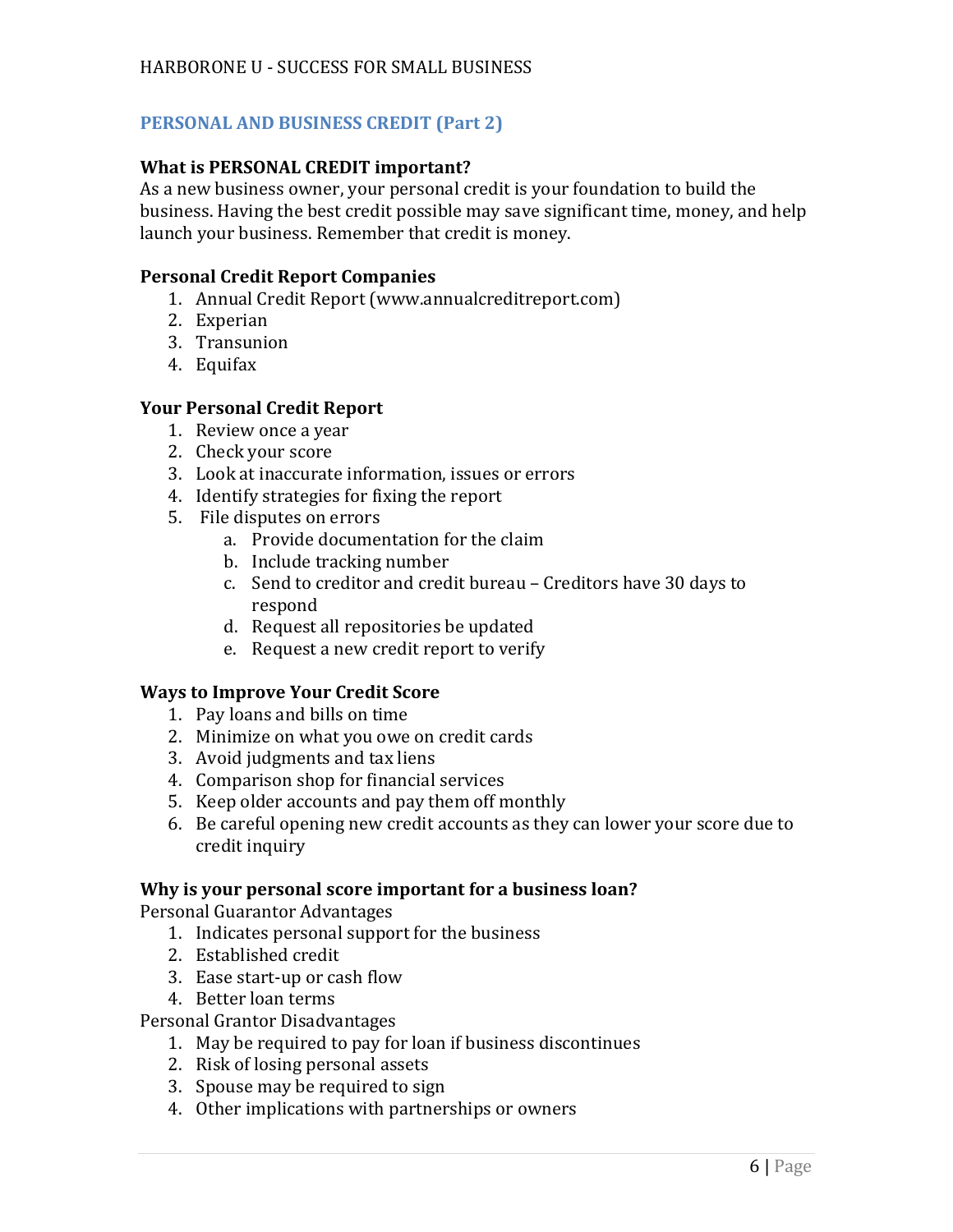# **PERSONAL AND BUSINESS CREDIT (Part 2)**

#### **What is PERSONAL CREDIT important?**

As a new business owner, your personal credit is your foundation to build the business. Having the best credit possible may save significant time, money, and help launch your business. Remember that credit is money.

#### **Personal Credit Report Companies**

- 1. Annual Credit Report (www.annualcreditreport.com)
- 2. Experian
- 3. Transunion
- 4. Equifax

#### **Your Personal Credit Report**

- 1. Review once a year
- 2. Check your score
- 3. Look at inaccurate information, issues or errors
- 4. Identify strategies for fixing the report
- 5. File disputes on errors
	- a. Provide documentation for the claim
	- b. Include tracking number
	- c. Send to creditor and credit bureau Creditors have 30 days to respond
	- d. Request all repositories be updated
	- e. Request a new credit report to verify

#### **Ways to Improve Your Credit Score**

- 1. Pay loans and bills on time
- 2. Minimize on what you owe on credit cards
- 3. Avoid judgments and tax liens
- 4. Comparison shop for financial services
- 5. Keep older accounts and pay them off monthly
- 6. Be careful opening new credit accounts as they can lower your score due to credit inquiry

#### **Why is your personal score important for a business loan?**

Personal Guarantor Advantages

- 1. Indicates personal support for the business
- 2. Established credit
- 3. Ease start-up or cash flow
- 4. Better loan terms

Personal Grantor Disadvantages

- 1. May be required to pay for loan if business discontinues
- 2. Risk of losing personal assets
- 3. Spouse may be required to sign
- 4. Other implications with partnerships or owners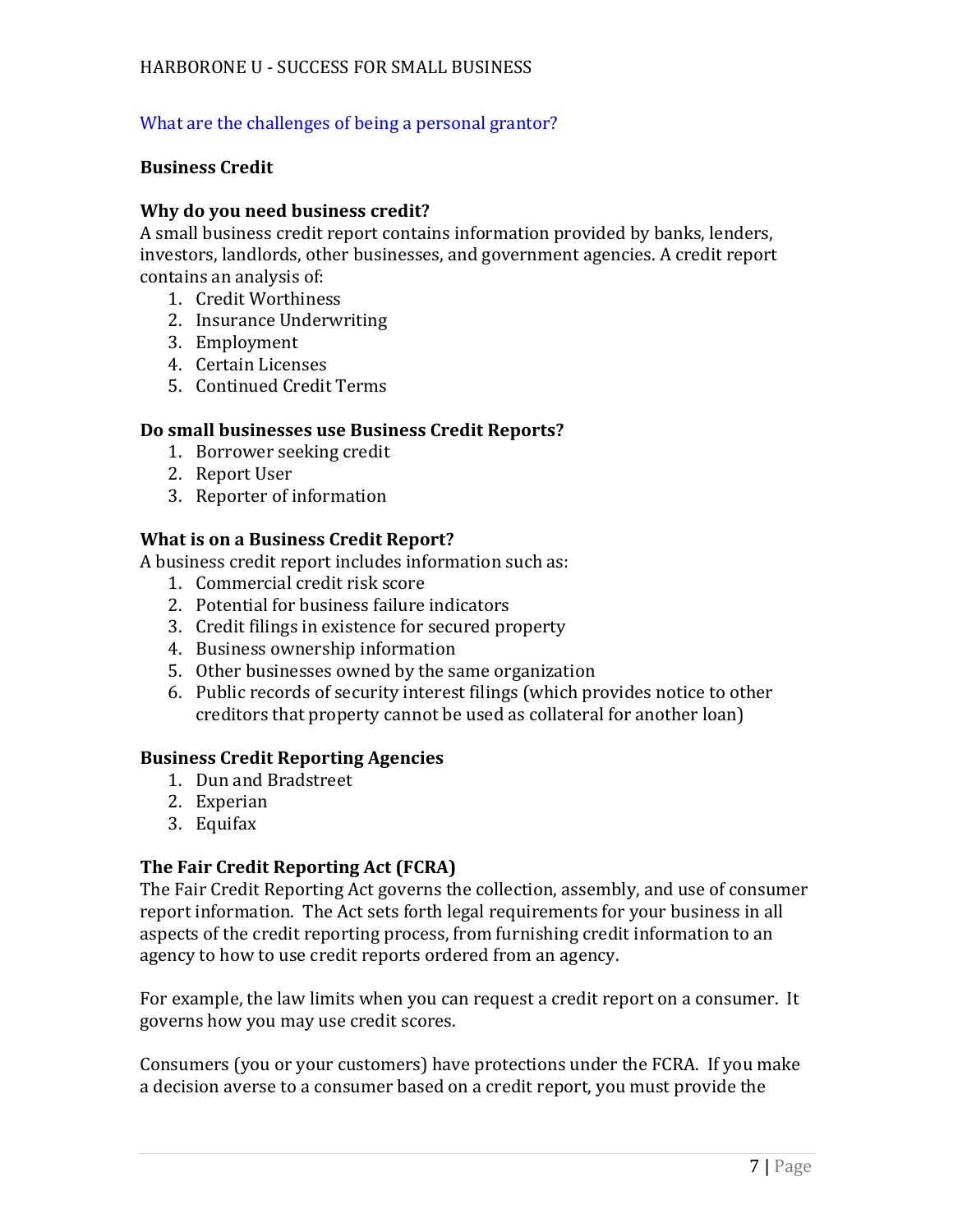# What are the challenges of being a personal grantor?

#### **Business Credit**

#### **Why do you need business credit?**

A small business credit report contains information provided by banks, lenders, investors, landlords, other businesses, and government agencies. A credit report contains an analysis of:

- 1. Credit Worthiness
- 2. Insurance Underwriting
- 3. Employment
- 4. Certain Licenses
- 5. Continued Credit Terms

#### **Do small businesses use Business Credit Reports?**

- 1. Borrower seeking credit
- 2. Report User
- 3. Reporter of information

#### **What is on a Business Credit Report?**

A business credit report includes information such as:

- 1. Commercial credit risk score
- 2. Potential for business failure indicators
- 3. Credit filings in existence for secured property
- 4. Business ownership information
- 5. Other businesses owned by the same organization
- 6. Public records of security interest filings (which provides notice to other creditors that property cannot be used as collateral for another loan)

#### **Business Credit Reporting Agencies**

- 1. Dun and Bradstreet
- 2. Experian
- 3. Equifax

# **The Fair Credit Reporting Act (FCRA)**

The Fair Credit Reporting Act governs the collection, assembly, and use of consumer report information. The Act sets forth legal requirements for your business in all aspects of the credit reporting process, from furnishing credit information to an agency to how to use credit reports ordered from an agency.

For example, the law limits when you can request a credit report on a consumer. It governs how you may use credit scores.

Consumers (you or your customers) have protections under the FCRA. If you make a decision averse to a consumer based on a credit report, you must provide the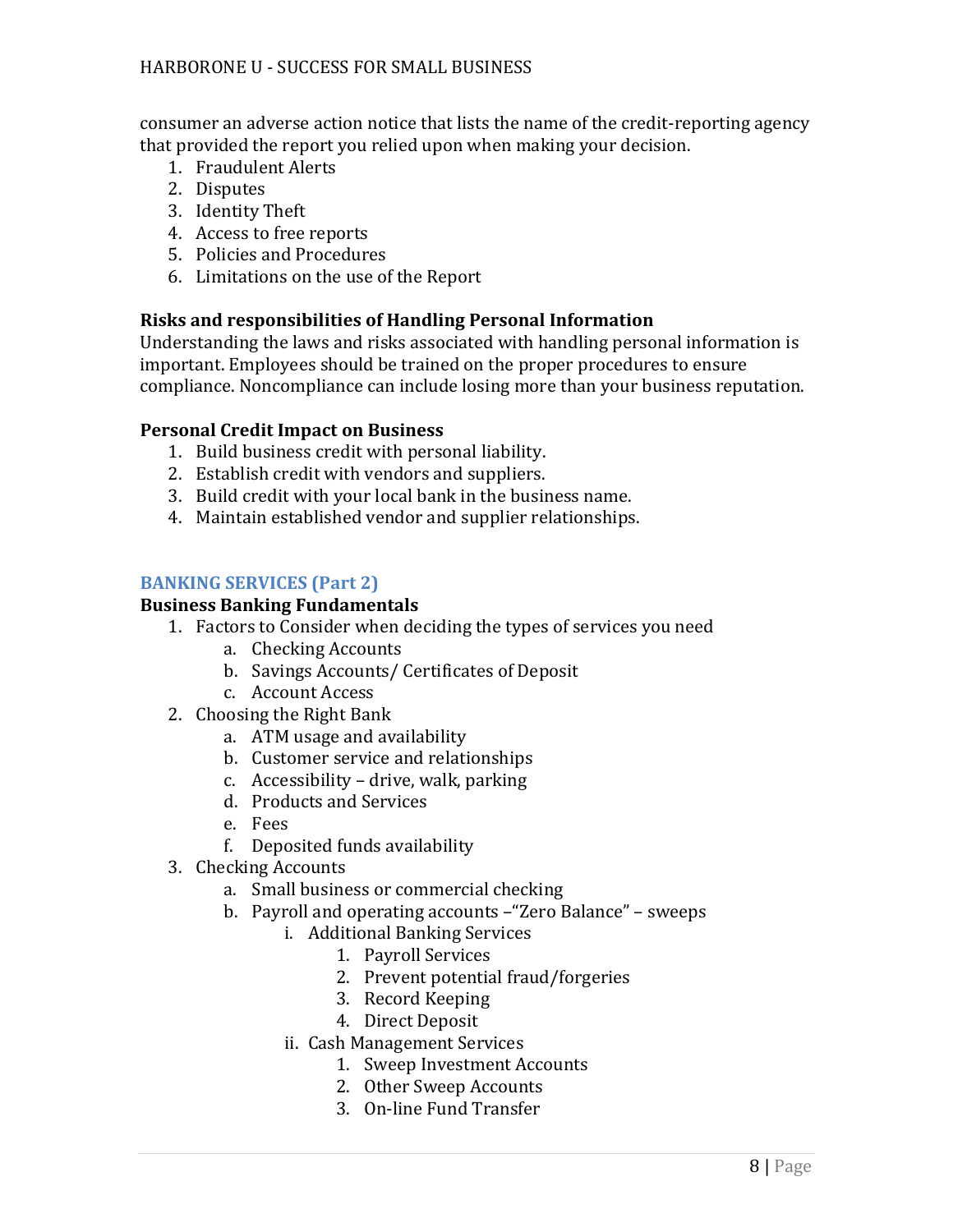consumer an adverse action notice that lists the name of the credit-reporting agency that provided the report you relied upon when making your decision.

- 1. Fraudulent Alerts
- 2. Disputes
- 3. Identity Theft
- 4. Access to free reports
- 5. Policies and Procedures
- 6. Limitations on the use of the Report

# **Risks and responsibilities of Handling Personal Information**

Understanding the laws and risks associated with handling personal information is important. Employees should be trained on the proper procedures to ensure compliance. Noncompliance can include losing more than your business reputation.

# **Personal Credit Impact on Business**

- 1. Build business credit with personal liability.
- 2. Establish credit with vendors and suppliers.
- 3. Build credit with your local bank in the business name.
- 4. Maintain established vendor and supplier relationships.

# **BANKING SERVICES (Part 2)**

#### **Business Banking Fundamentals**

- 1. Factors to Consider when deciding the types of services you need
	- a. Checking Accounts
	- b. Savings Accounts/ Certificates of Deposit
	- c. Account Access
- 2. Choosing the Right Bank
	- a. ATM usage and availability
	- b. Customer service and relationships
	- c. Accessibility drive, walk, parking
	- d. Products and Services
	- e. Fees
	- f. Deposited funds availability
- 3. Checking Accounts
	- a. Small business or commercial checking
	- b. Payroll and operating accounts –"Zero Balance" sweeps
		- i. Additional Banking Services
			- 1. Payroll Services
			- 2. Prevent potential fraud/forgeries
			- 3. Record Keeping
			- 4. Direct Deposit
			- ii. Cash Management Services
				- 1. Sweep Investment Accounts
				- 2. Other Sweep Accounts
				- 3. On-line Fund Transfer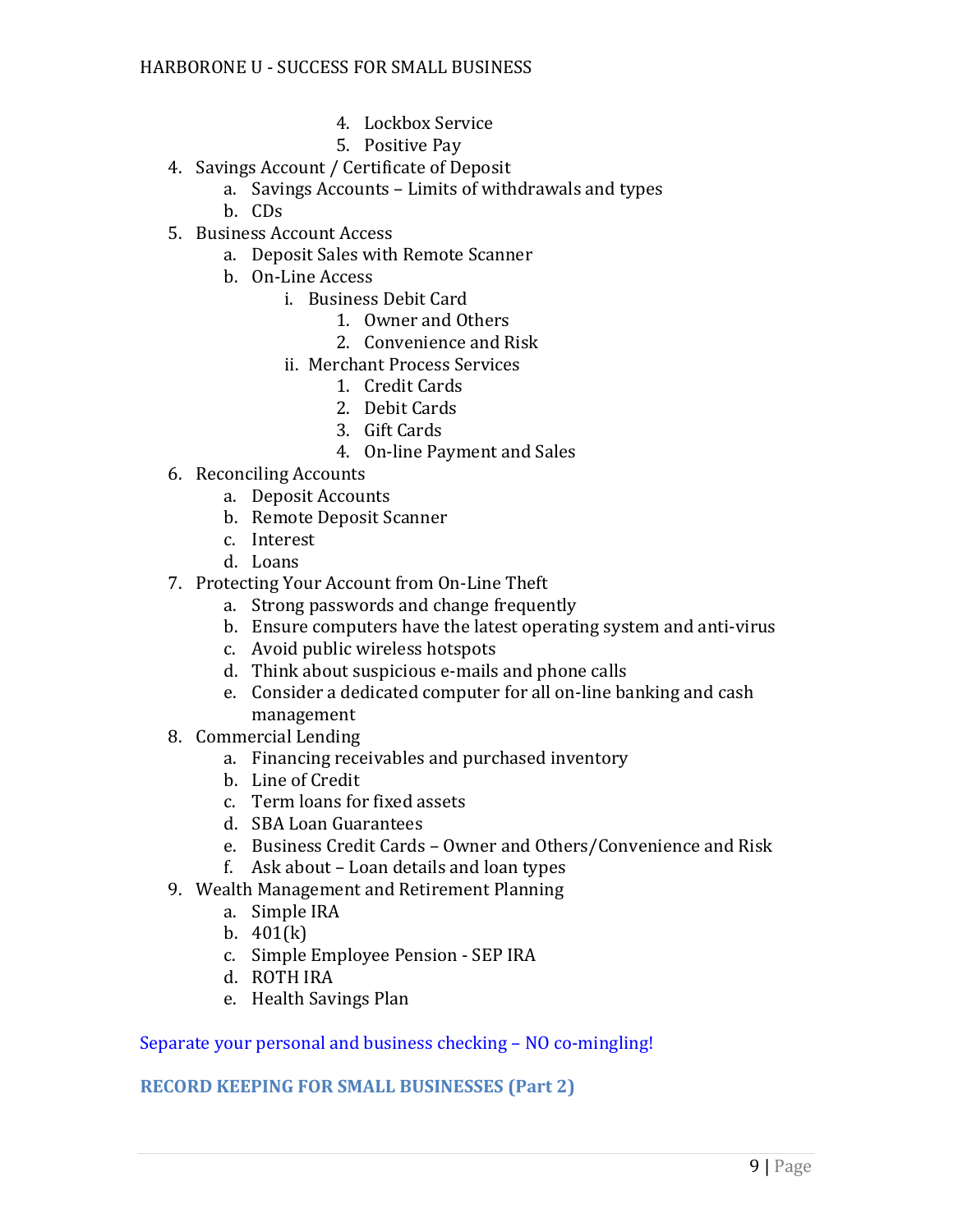- 4. Lockbox Service
- 5. Positive Pay
- 4. Savings Account / Certificate of Deposit
	- a. Savings Accounts Limits of withdrawals and types
	- b. CDs
- 5. Business Account Access
	- a. Deposit Sales with Remote Scanner
	- b. On-Line Access
		- i. Business Debit Card
			- 1. Owner and Others
			- 2. Convenience and Risk
			- ii. Merchant Process Services
				- 1. Credit Cards
				- 2. Debit Cards
				- 3. Gift Cards
				- 4. On-line Payment and Sales
- 6. Reconciling Accounts
	- a. Deposit Accounts
	- b. Remote Deposit Scanner
	- c. Interest
	- d. Loans
- 7. Protecting Your Account from On-Line Theft
	- a. Strong passwords and change frequently
	- b. Ensure computers have the latest operating system and anti-virus
	- c. Avoid public wireless hotspots
	- d. Think about suspicious e-mails and phone calls
	- e. Consider a dedicated computer for all on-line banking and cash management
- 8. Commercial Lending
	- a. Financing receivables and purchased inventory
	- b. Line of Credit
	- c. Term loans for fixed assets
	- d. SBA Loan Guarantees
	- e. Business Credit Cards Owner and Others/Convenience and Risk
	- f. Ask about Loan details and loan types
- 9. Wealth Management and Retirement Planning
	- a. Simple IRA
	- b. 401(k)
	- c. Simple Employee Pension SEP IRA
	- d. ROTH IRA
	- e. Health Savings Plan

# Separate your personal and business checking – NO co-mingling!

# **RECORD KEEPING FOR SMALL BUSINESSES (Part 2)**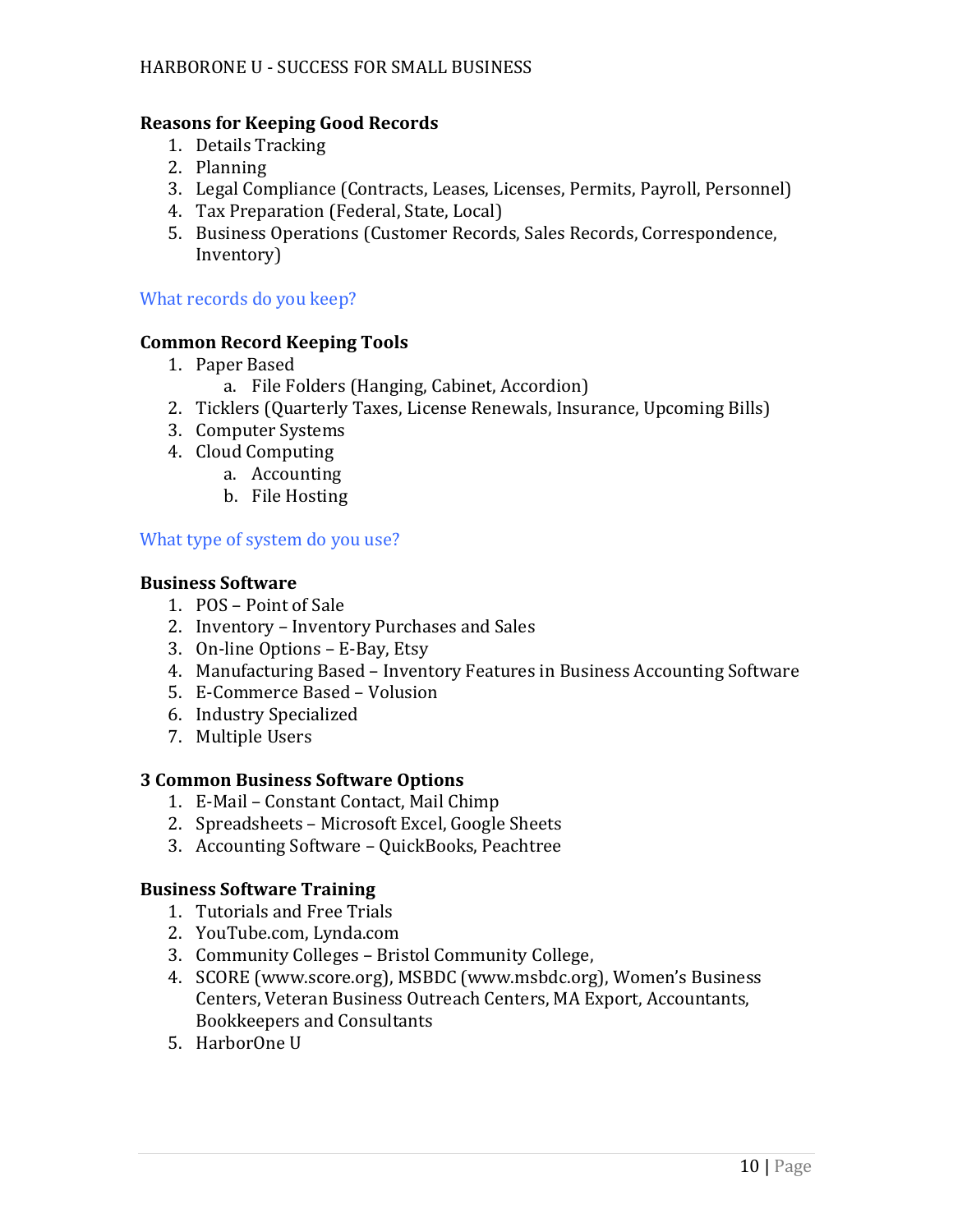## **Reasons for Keeping Good Records**

- 1. Details Tracking
- 2. Planning
- 3. Legal Compliance (Contracts, Leases, Licenses, Permits, Payroll, Personnel)
- 4. Tax Preparation (Federal, State, Local)
- 5. Business Operations (Customer Records, Sales Records, Correspondence, Inventory)

What records do you keep?

#### **Common Record Keeping Tools**

- 1. Paper Based
	- a. File Folders (Hanging, Cabinet, Accordion)
- 2. Ticklers (Quarterly Taxes, License Renewals, Insurance, Upcoming Bills)
- 3. Computer Systems
- 4. Cloud Computing
	- a. Accounting
	- b. File Hosting

What type of system do you use?

#### **Business Software**

- 1. POS Point of Sale
- 2. Inventory Inventory Purchases and Sales
- 3. On-line Options E-Bay, Etsy
- 4. Manufacturing Based Inventory Features in Business Accounting Software
- 5. E-Commerce Based Volusion
- 6. Industry Specialized
- 7. Multiple Users

#### **3 Common Business Software Options**

- 1. E-Mail Constant Contact, Mail Chimp
- 2. Spreadsheets Microsoft Excel, Google Sheets
- 3. Accounting Software QuickBooks, Peachtree

#### **Business Software Training**

- 1. Tutorials and Free Trials
- 2. YouTube.com, Lynda.com
- 3. Community Colleges Bristol Community College,
- 4. SCORE (www.score.org), MSBDC (www.msbdc.org), Women's Business Centers, Veteran Business Outreach Centers, MA Export, Accountants, Bookkeepers and Consultants
- 5. HarborOne U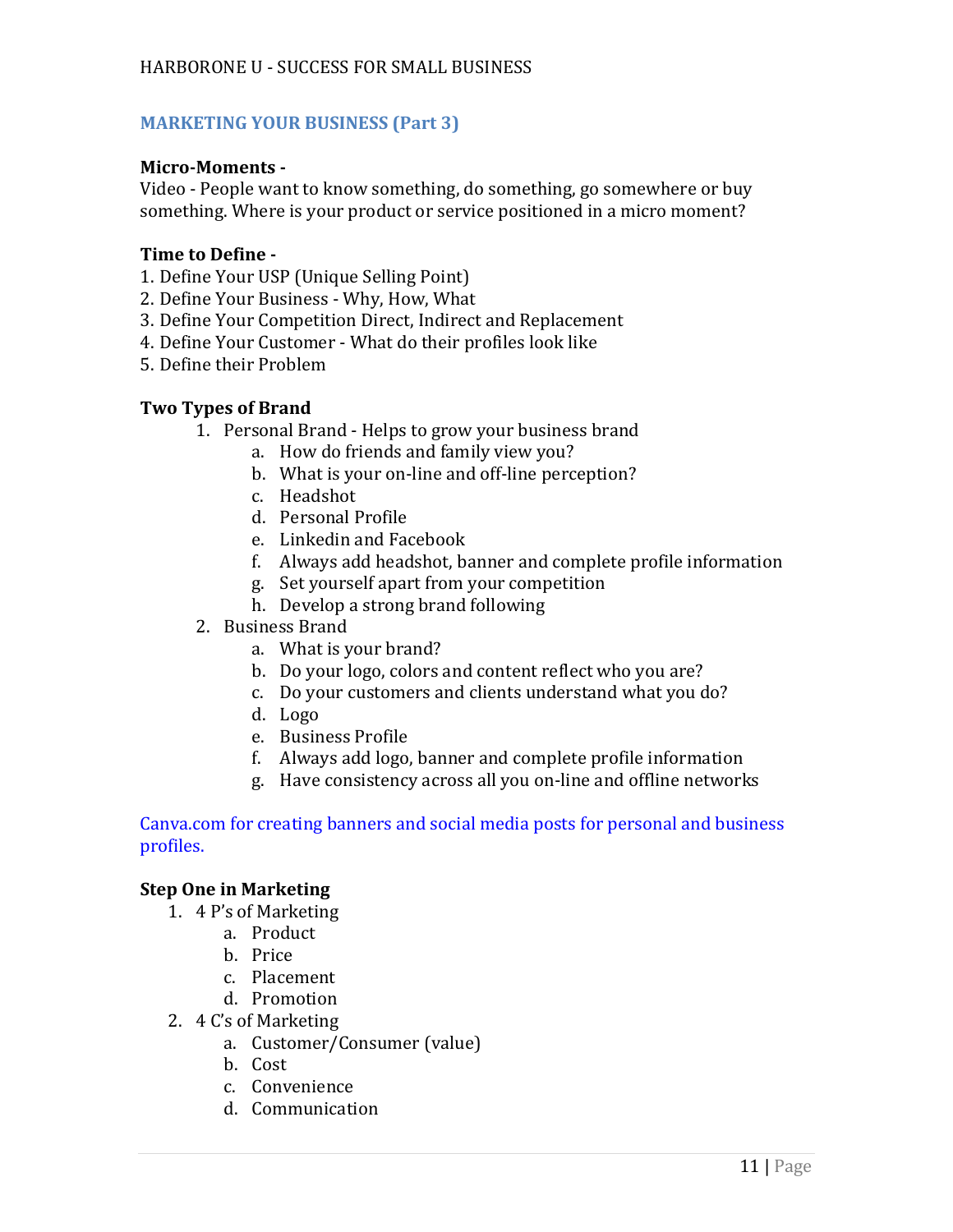# **MARKETING YOUR BUSINESS (Part 3)**

# **Micro-Moments -**

Video - People want to know something, do something, go somewhere or buy something. Where is your product or service positioned in a micro moment?

# **Time to Define -**

- 1. Define Your USP (Unique Selling Point)
- 2. Define Your Business Why, How, What
- 3. Define Your Competition Direct, Indirect and Replacement
- 4. Define Your Customer What do their profiles look like
- 5. Define their Problem

# **Two Types of Brand**

- 1. Personal Brand Helps to grow your business brand
	- a. How do friends and family view you?
	- b. What is your on-line and off-line perception?
	- c. Headshot
	- d. Personal Profile
	- e. Linkedin and Facebook
	- f. Always add headshot, banner and complete profile information
	- g. Set yourself apart from your competition
	- h. Develop a strong brand following
- 2. Business Brand
	- a. What is your brand?
	- b. Do your logo, colors and content reflect who you are?
	- c. Do your customers and clients understand what you do?
	- d. Logo
	- e. Business Profile
	- f. Always add logo, banner and complete profile information
	- g. Have consistency across all you on-line and offline networks

#### Canva.com for creating banners and social media posts for personal and business profiles.

# **Step One in Marketing**

- 1. 4 P's of Marketing
	- a. Product
	- b. Price
	- c. Placement
	- d. Promotion
- 2. 4 C's of Marketing
	- a. Customer/Consumer (value)
	- b. Cost
	- c. Convenience
	- d. Communication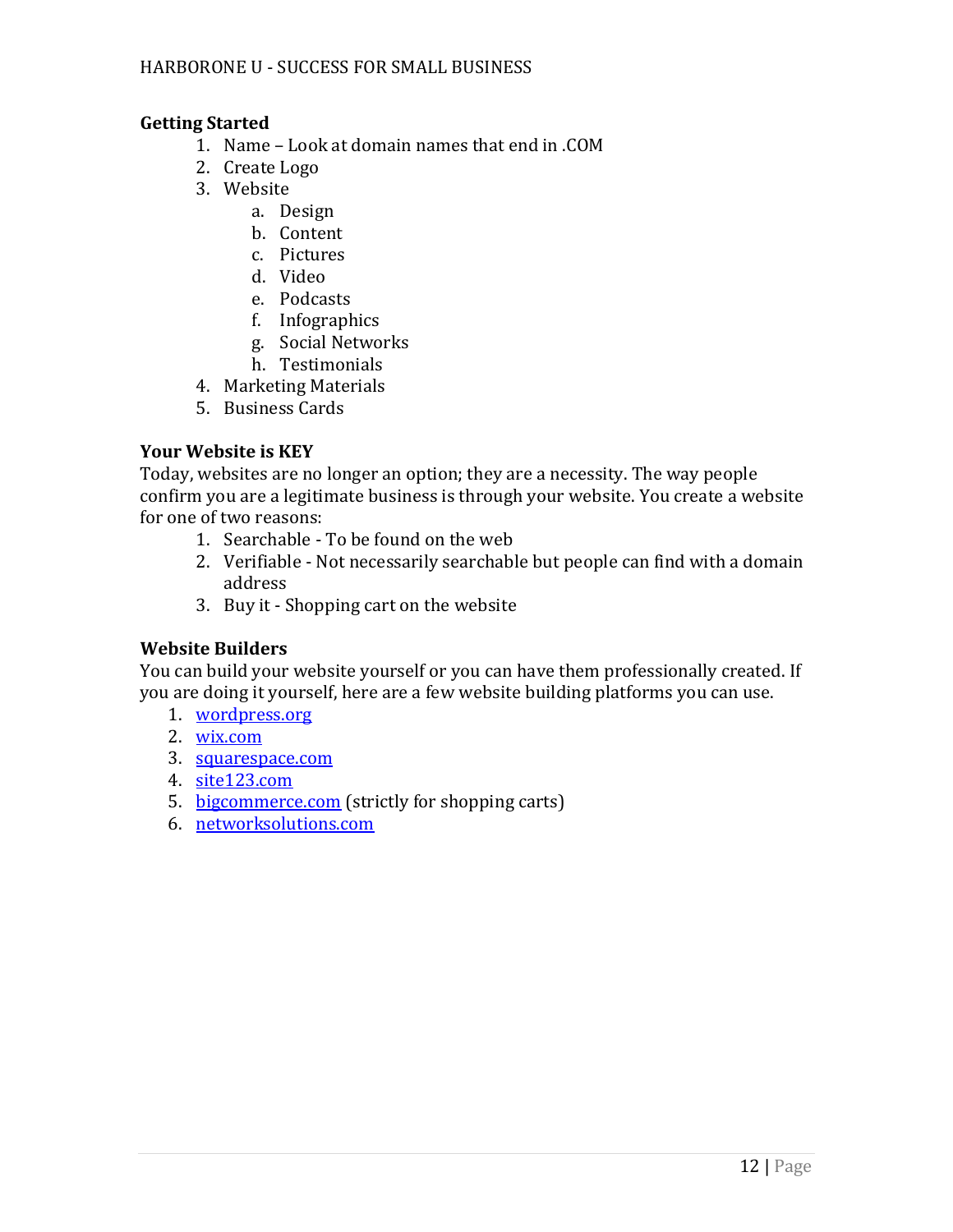# **Getting Started**

- 1. Name Look at domain names that end in .COM
- 2. Create Logo
- 3. Website
	- a. Design
	- b. Content
	- c. Pictures
	- d. Video
	- e. Podcasts
	- f. Infographics
	- g. Social Networks
	- h. Testimonials
- 4. Marketing Materials
- 5. Business Cards

# **Your Website is KEY**

Today, websites are no longer an option; they are a necessity. The way people confirm you are a legitimate business is through your website. You create a website for one of two reasons:

- 1. Searchable To be found on the web
- 2. Verifiable Not necessarily searchable but people can find with a domain address
- 3. Buy it Shopping cart on the website

# **Website Builders**

You can build your website yourself or you can have them professionally created. If you are doing it yourself, here are a few website building platforms you can use.

- 1. [wordpress.org](http://wordpress.org/)
- 2. [wix.com](http://wix.com/)
- 3. [squarespace.com](http://squarespace.com/)
- 4. [site123.com](http://site123.com/)
- 5. [bigcommerce.com](http://bigcommerce.com/) (strictly for shopping carts)
- 6. [networksolutions.com](http://networksolutions.com/)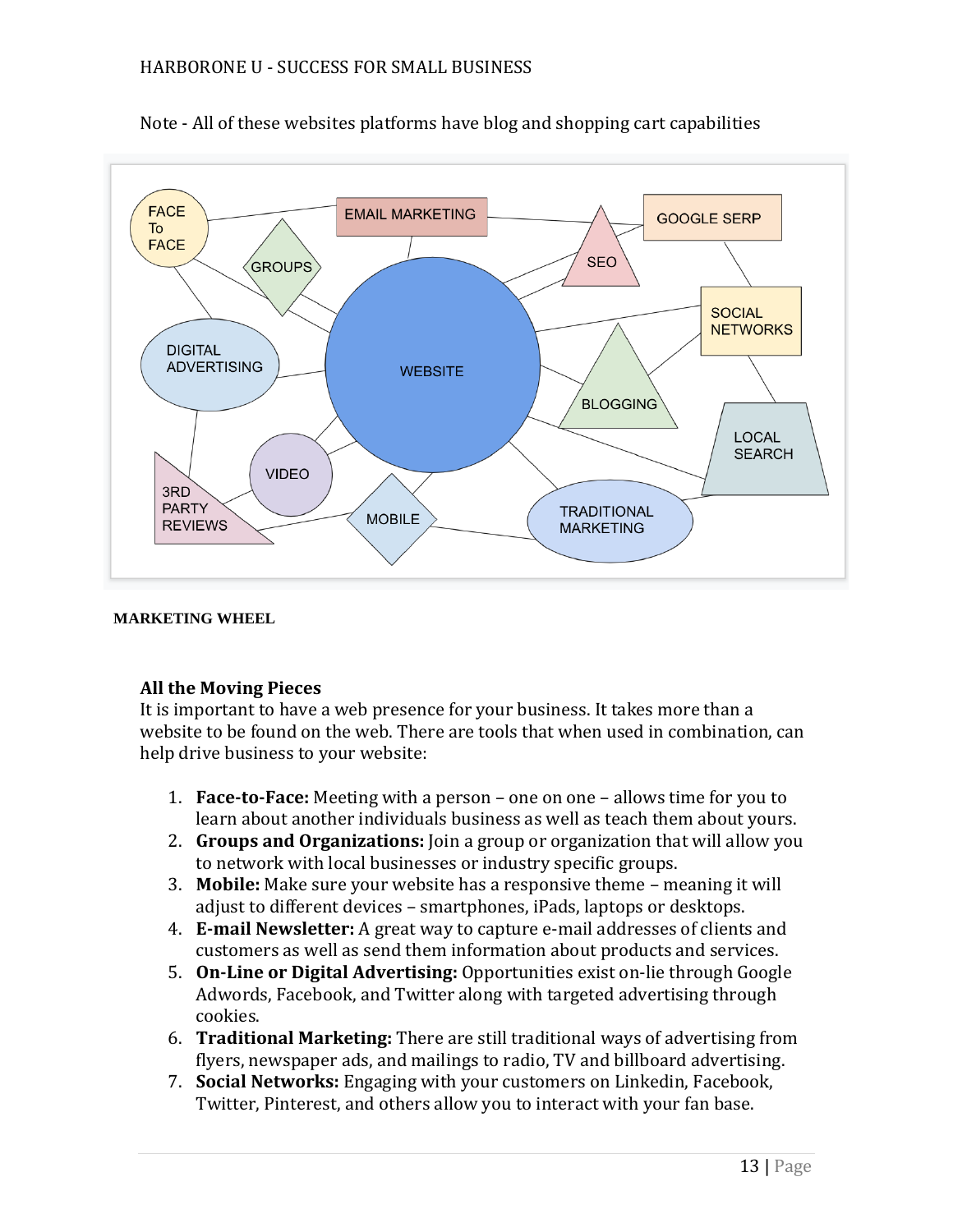



#### **MARKETING WHEEL**

# **All the Moving Pieces**

It is important to have a web presence for your business. It takes more than a website to be found on the web. There are tools that when used in combination, can help drive business to your website:

- 1. **Face-to-Face:** Meeting with a person one on one allows time for you to learn about another individuals business as well as teach them about yours.
- 2. **Groups and Organizations:** Join a group or organization that will allow you to network with local businesses or industry specific groups.
- 3. **Mobile:** Make sure your website has a responsive theme meaning it will adjust to different devices – smartphones, iPads, laptops or desktops.
- 4. **E-mail Newsletter:** A great way to capture e-mail addresses of clients and customers as well as send them information about products and services.
- 5. **On-Line or Digital Advertising:** Opportunities exist on-lie through Google Adwords, Facebook, and Twitter along with targeted advertising through cookies.
- 6. **Traditional Marketing:** There are still traditional ways of advertising from flyers, newspaper ads, and mailings to radio, TV and billboard advertising.
- 7. **Social Networks:** Engaging with your customers on Linkedin, Facebook, Twitter, Pinterest, and others allow you to interact with your fan base.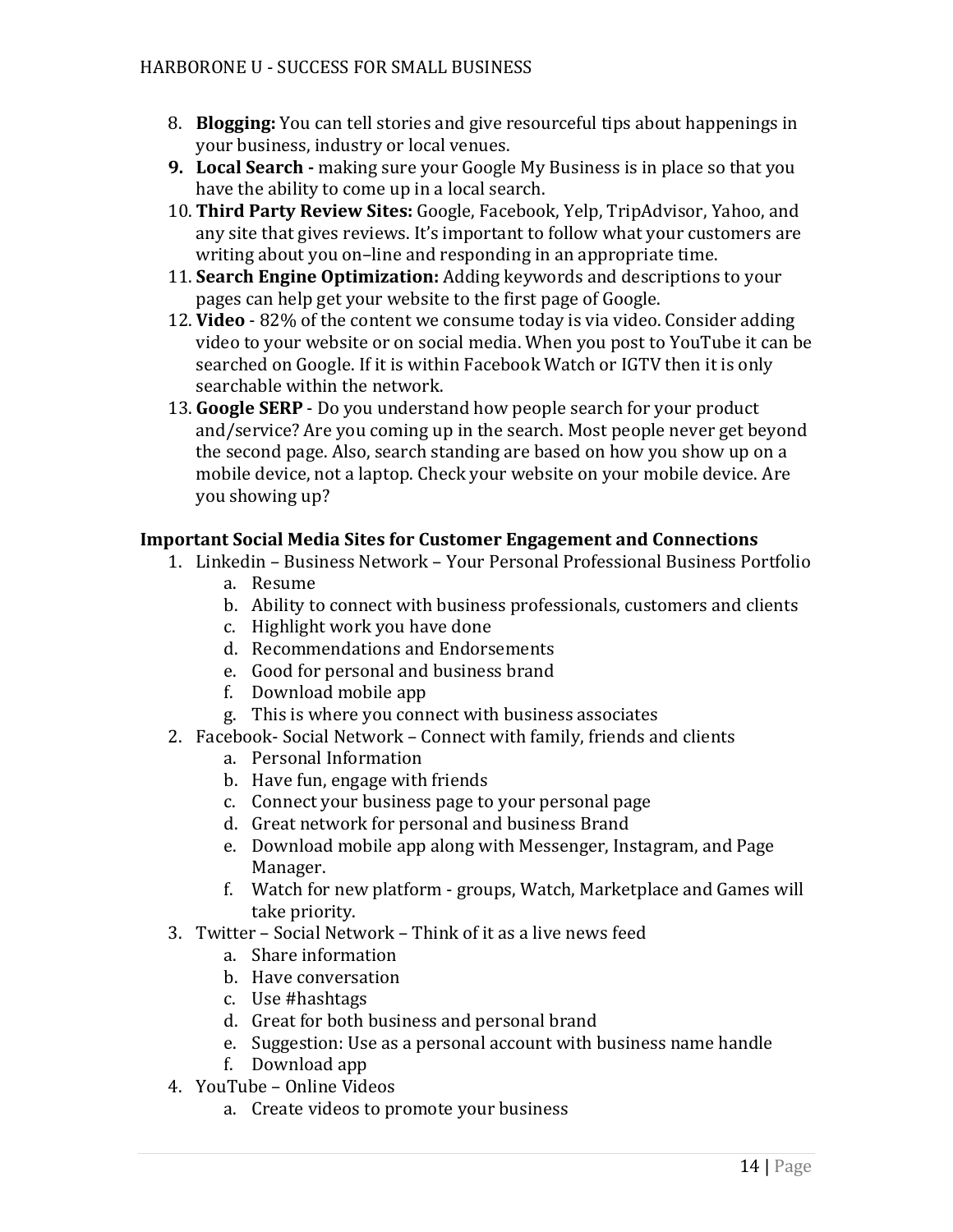- 8. **Blogging:** You can tell stories and give resourceful tips about happenings in your business, industry or local venues.
- **9. Local Search -** making sure your Google My Business is in place so that you have the ability to come up in a local search.
- 10. **Third Party Review Sites:** Google, Facebook, Yelp, TripAdvisor, Yahoo, and any site that gives reviews. It's important to follow what your customers are writing about you on–line and responding in an appropriate time.
- 11. **Search Engine Optimization:** Adding keywords and descriptions to your pages can help get your website to the first page of Google.
- 12. **Video** 82% of the content we consume today is via video. Consider adding video to your website or on social media. When you post to YouTube it can be searched on Google. If it is within Facebook Watch or IGTV then it is only searchable within the network.
- 13. **Google SERP** Do you understand how people search for your product and/service? Are you coming up in the search. Most people never get beyond the second page. Also, search standing are based on how you show up on a mobile device, not a laptop. Check your website on your mobile device. Are you showing up?

# **Important Social Media Sites for Customer Engagement and Connections**

- 1. Linkedin Business Network Your Personal Professional Business Portfolio
	- a. Resume
	- b. Ability to connect with business professionals, customers and clients
	- c. Highlight work you have done
	- d. Recommendations and Endorsements
	- e. Good for personal and business brand
	- f. Download mobile app
	- g. This is where you connect with business associates
- 2. Facebook- Social Network Connect with family, friends and clients
	- a. Personal Information
	- b. Have fun, engage with friends
	- c. Connect your business page to your personal page
	- d. Great network for personal and business Brand
	- e. Download mobile app along with Messenger, Instagram, and Page Manager.
	- f. Watch for new platform groups, Watch, Marketplace and Games will take priority.
- 3. Twitter Social Network Think of it as a live news feed
	- a. Share information
	- b. Have conversation
	- c. Use #hashtags
	- d. Great for both business and personal brand
	- e. Suggestion: Use as a personal account with business name handle
	- f. Download app
- 4. YouTube Online Videos
	- a. Create videos to promote your business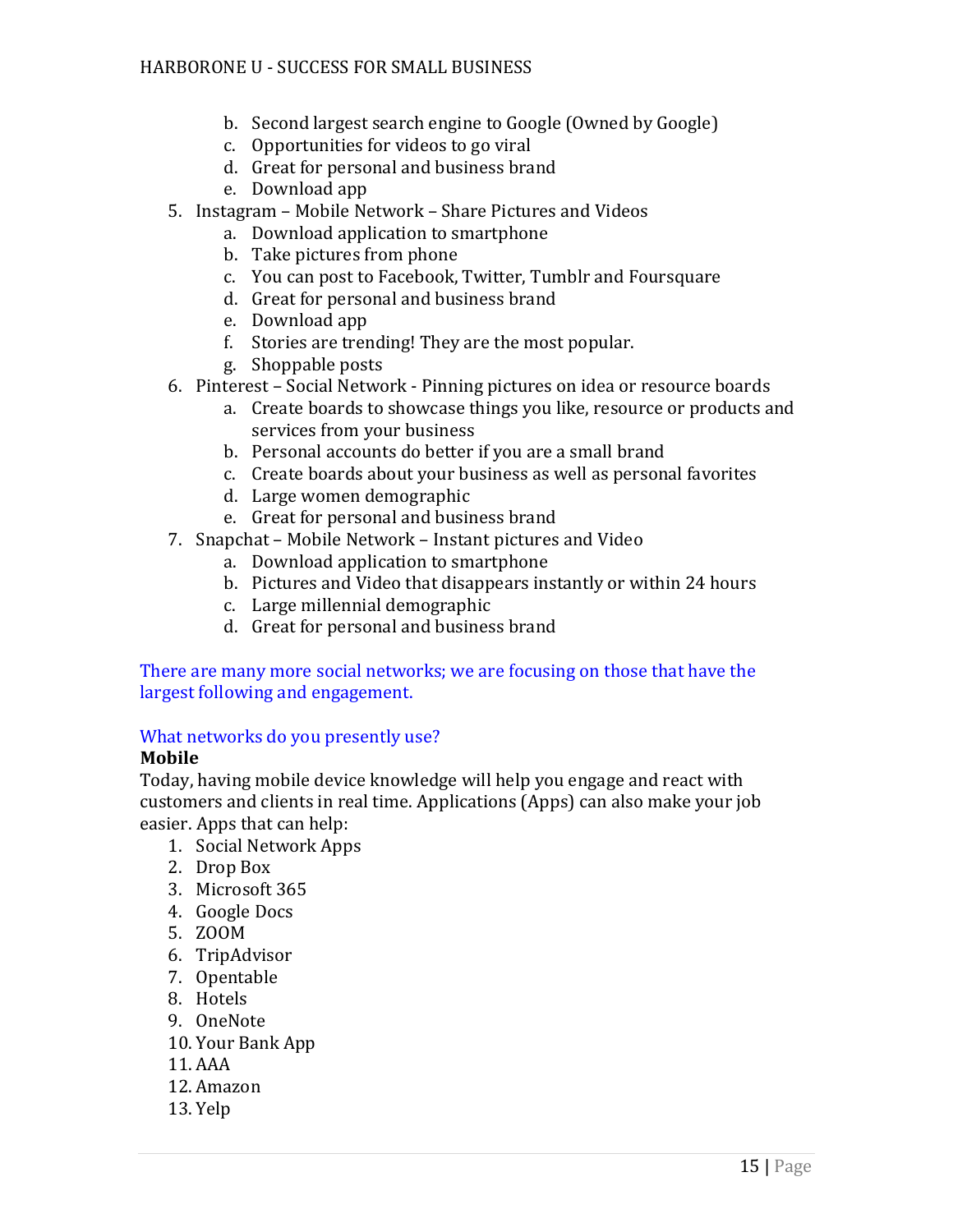- b. Second largest search engine to Google (Owned by Google)
- c. Opportunities for videos to go viral
- d. Great for personal and business brand
- e. Download app
- 5. Instagram Mobile Network Share Pictures and Videos
	- a. Download application to smartphone
	- b. Take pictures from phone
	- c. You can post to Facebook, Twitter, Tumblr and Foursquare
	- d. Great for personal and business brand
	- e. Download app
	- f. Stories are trending! They are the most popular.
	- g. Shoppable posts
- 6. Pinterest Social Network Pinning pictures on idea or resource boards
	- a. Create boards to showcase things you like, resource or products and services from your business
	- b. Personal accounts do better if you are a small brand
	- c. Create boards about your business as well as personal favorites
	- d. Large women demographic
	- e. Great for personal and business brand
- 7. Snapchat Mobile Network Instant pictures and Video
	- a. Download application to smartphone
	- b. Pictures and Video that disappears instantly or within 24 hours
	- c. Large millennial demographic
	- d. Great for personal and business brand

There are many more social networks; we are focusing on those that have the largest following and engagement.

# What networks do you presently use?

# **Mobile**

Today, having mobile device knowledge will help you engage and react with customers and clients in real time. Applications (Apps) can also make your job easier. Apps that can help:

- 1. Social Network Apps
- 2. Drop Box
- 3. Microsoft 365
- 4. Google Docs
- 5. ZOOM
- 6. TripAdvisor
- 7. Opentable
- 8. Hotels
- 9. OneNote
- 10. Your Bank App
- 11. AAA
- 12. Amazon
- 13. Yelp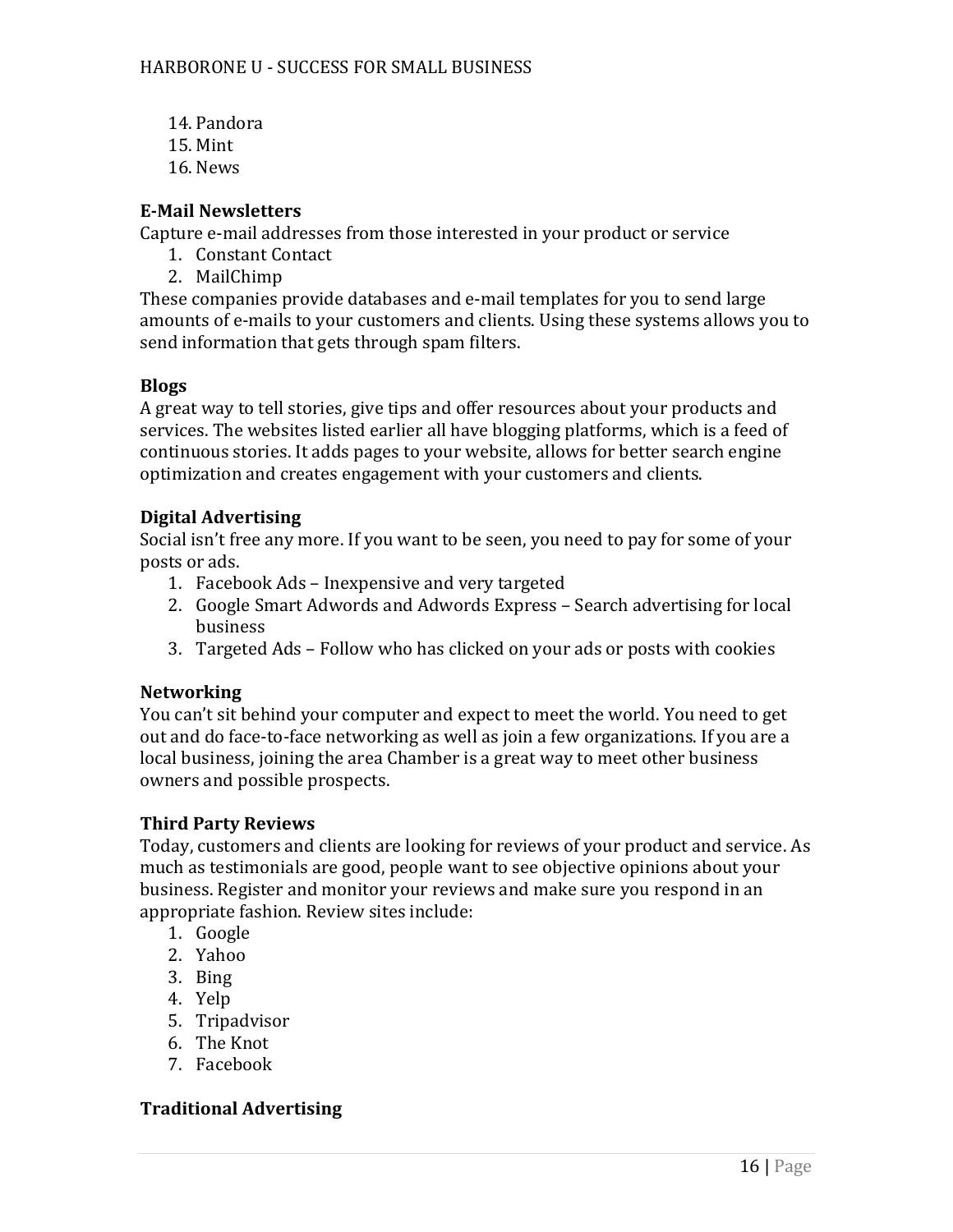- 14. Pandora
- 15. Mint
- 16. News

# **E-Mail Newsletters**

Capture e-mail addresses from those interested in your product or service

- 1. Constant Contact
- 2. MailChimp

These companies provide databases and e-mail templates for you to send large amounts of e-mails to your customers and clients. Using these systems allows you to send information that gets through spam filters.

# **Blogs**

A great way to tell stories, give tips and offer resources about your products and services. The websites listed earlier all have blogging platforms, which is a feed of continuous stories. It adds pages to your website, allows for better search engine optimization and creates engagement with your customers and clients.

# **Digital Advertising**

Social isn't free any more. If you want to be seen, you need to pay for some of your posts or ads.

- 1. Facebook Ads Inexpensive and very targeted
- 2. Google Smart Adwords and Adwords Express Search advertising for local business
- 3. Targeted Ads Follow who has clicked on your ads or posts with cookies

# **Networking**

You can't sit behind your computer and expect to meet the world. You need to get out and do face-to-face networking as well as join a few organizations. If you are a local business, joining the area Chamber is a great way to meet other business owners and possible prospects.

# **Third Party Reviews**

Today, customers and clients are looking for reviews of your product and service. As much as testimonials are good, people want to see objective opinions about your business. Register and monitor your reviews and make sure you respond in an appropriate fashion. Review sites include:

- 1. Google
- 2. Yahoo
- 3. Bing
- 4. Yelp
- 5. Tripadvisor
- 6. The Knot
- 7. Facebook

# **Traditional Advertising**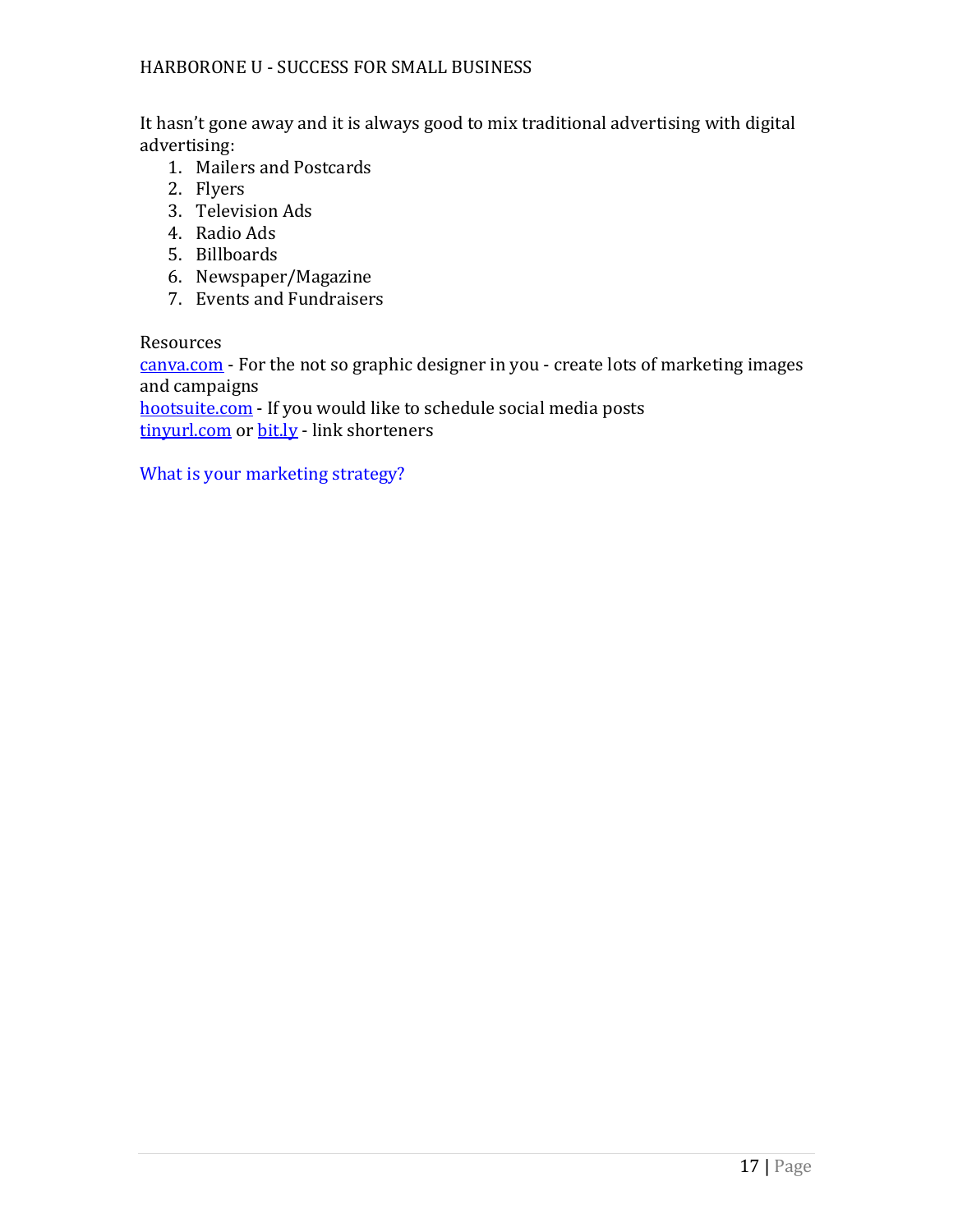It hasn't gone away and it is always good to mix traditional advertising with digital advertising:

- 1. Mailers and Postcards
- 2. Flyers
- 3. Television Ads
- 4. Radio Ads
- 5. Billboards
- 6. Newspaper/Magazine
- 7. Events and Fundraisers

Resources

[canva.com](http://canva.com/) - For the not so graphic designer in you - create lots of marketing images and campaigns

[hootsuite.com](http://hootsuite.com/) - If you would like to schedule social media posts [tinyurl.com](http://tinyurl.com/) or [bit.ly](http://bit.ly/) - link shorteners

What is your marketing strategy?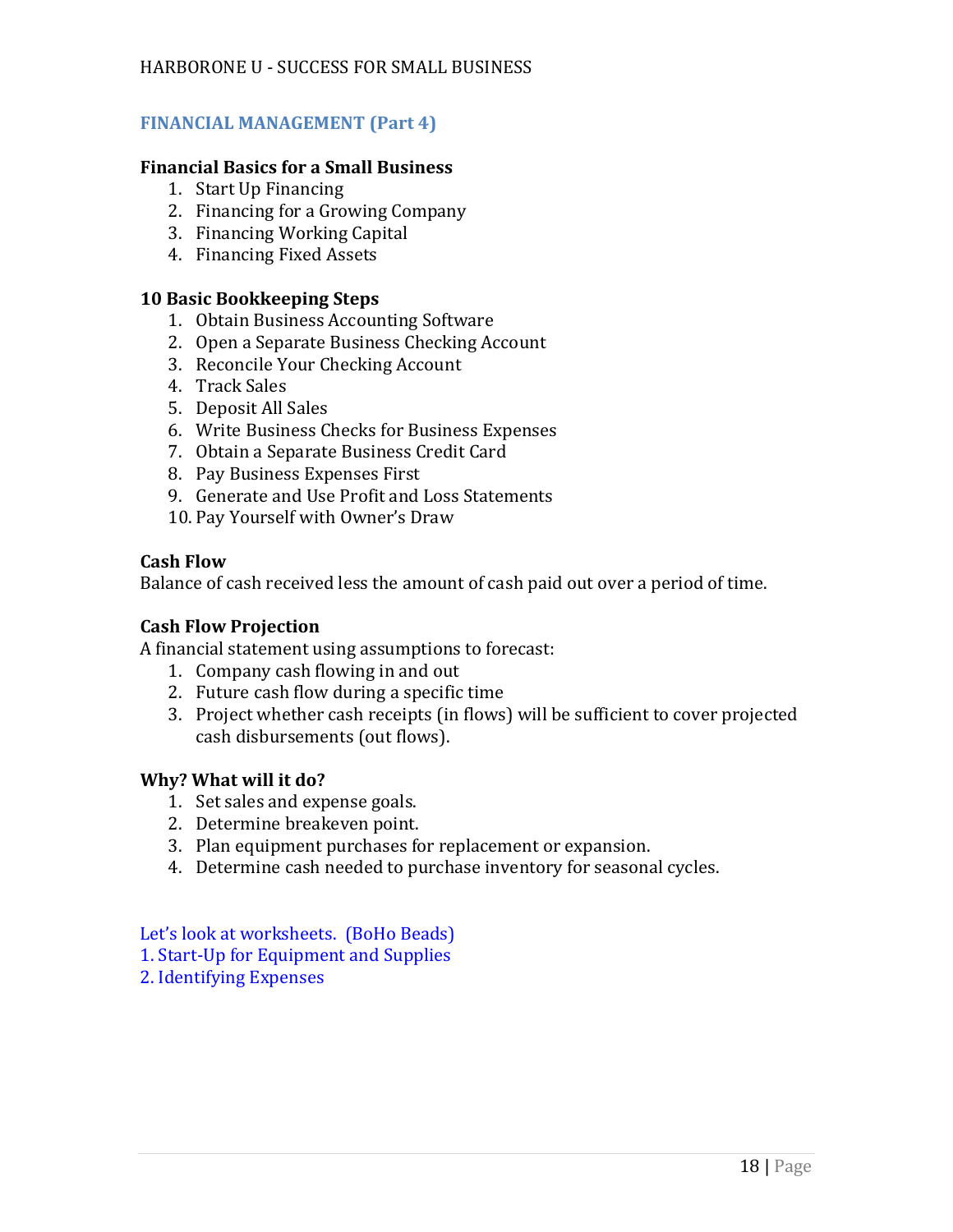# **FINANCIAL MANAGEMENT (Part 4)**

# **Financial Basics for a Small Business**

- 1. Start Up Financing
- 2. Financing for a Growing Company
- 3. Financing Working Capital
- 4. Financing Fixed Assets

#### **10 Basic Bookkeeping Steps**

- 1. Obtain Business Accounting Software
- 2. Open a Separate Business Checking Account
- 3. Reconcile Your Checking Account
- 4. Track Sales
- 5. Deposit All Sales
- 6. Write Business Checks for Business Expenses
- 7. Obtain a Separate Business Credit Card
- 8. Pay Business Expenses First
- 9. Generate and Use Profit and Loss Statements
- 10. Pay Yourself with Owner's Draw

#### **Cash Flow**

Balance of cash received less the amount of cash paid out over a period of time.

# **Cash Flow Projection**

A financial statement using assumptions to forecast:

- 1. Company cash flowing in and out
- 2. Future cash flow during a specific time
- 3. Project whether cash receipts (in flows) will be sufficient to cover projected cash disbursements (out flows).

# **Why? What will it do?**

- 1. Set sales and expense goals.
- 2. Determine breakeven point.
- 3. Plan equipment purchases for replacement or expansion.
- 4. Determine cash needed to purchase inventory for seasonal cycles.

Let's look at worksheets. (BoHo Beads) 1. Start-Up for Equipment and Supplies 2. Identifying Expenses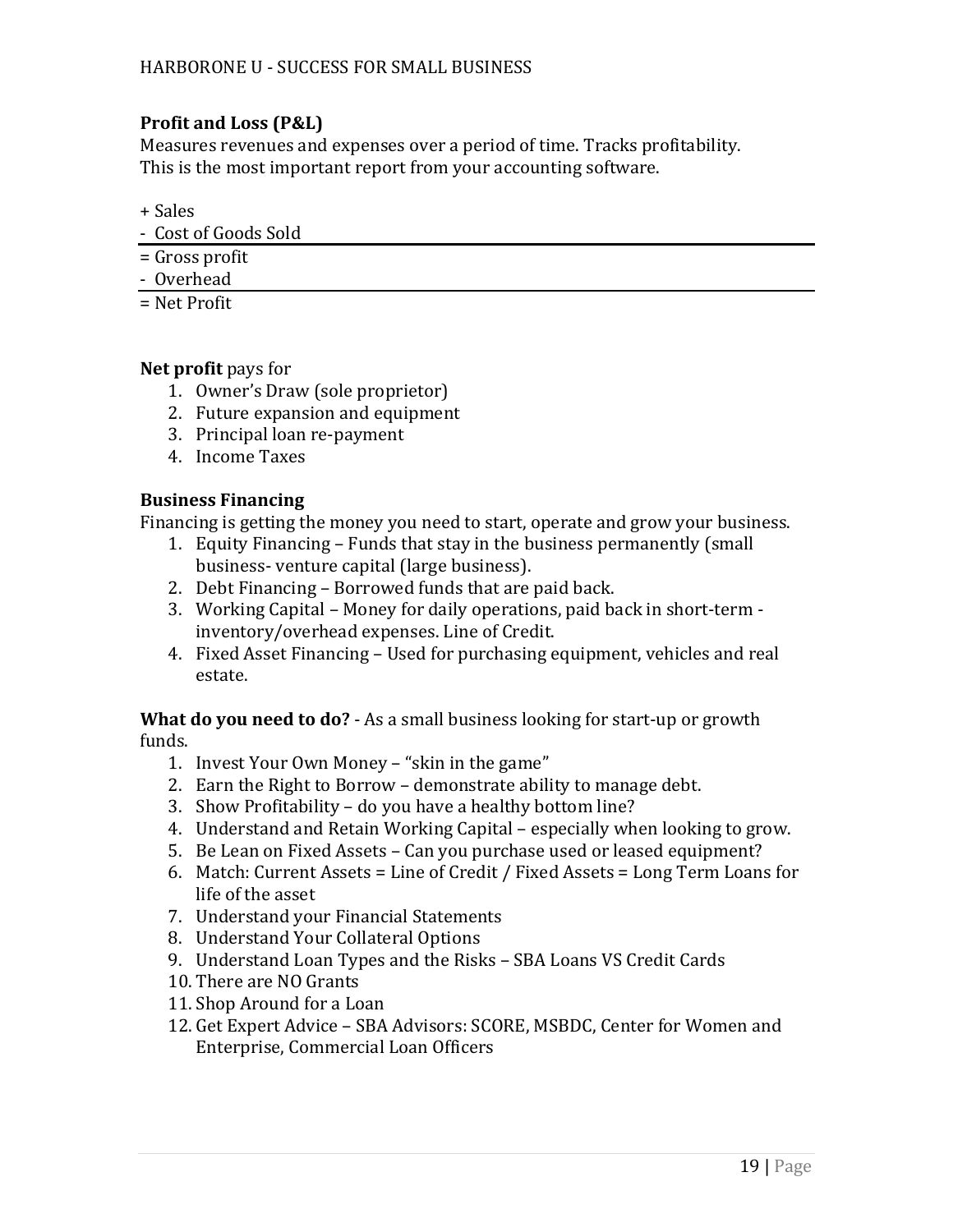# **Profit and Loss (P&L)**

Measures revenues and expenses over a period of time. Tracks profitability. This is the most important report from your accounting software.

+ Sales

- Cost of Goods Sold
- = Gross profit
- Overhead
- = Net Profit

# **Net profit** pays for

- 1. Owner's Draw (sole proprietor)
- 2. Future expansion and equipment
- 3. Principal loan re-payment
- 4. Income Taxes

# **Business Financing**

Financing is getting the money you need to start, operate and grow your business.

- 1. Equity Financing Funds that stay in the business permanently (small business- venture capital (large business).
- 2. Debt Financing Borrowed funds that are paid back.
- 3. Working Capital Money for daily operations, paid back in short-term inventory/overhead expenses. Line of Credit.
- 4. Fixed Asset Financing Used for purchasing equipment, vehicles and real estate.

**What do you need to do?** - As a small business looking for start-up or growth funds.

- 1. Invest Your Own Money "skin in the game"
- 2. Earn the Right to Borrow demonstrate ability to manage debt.
- 3. Show Profitability do you have a healthy bottom line?
- 4. Understand and Retain Working Capital especially when looking to grow.
- 5. Be Lean on Fixed Assets Can you purchase used or leased equipment?
- 6. Match: Current Assets = Line of Credit / Fixed Assets = Long Term Loans for life of the asset
- 7. Understand your Financial Statements
- 8. Understand Your Collateral Options
- 9. Understand Loan Types and the Risks SBA Loans VS Credit Cards
- 10. There are NO Grants
- 11. Shop Around for a Loan
- 12. Get Expert Advice SBA Advisors: SCORE, MSBDC, Center for Women and Enterprise, Commercial Loan Officers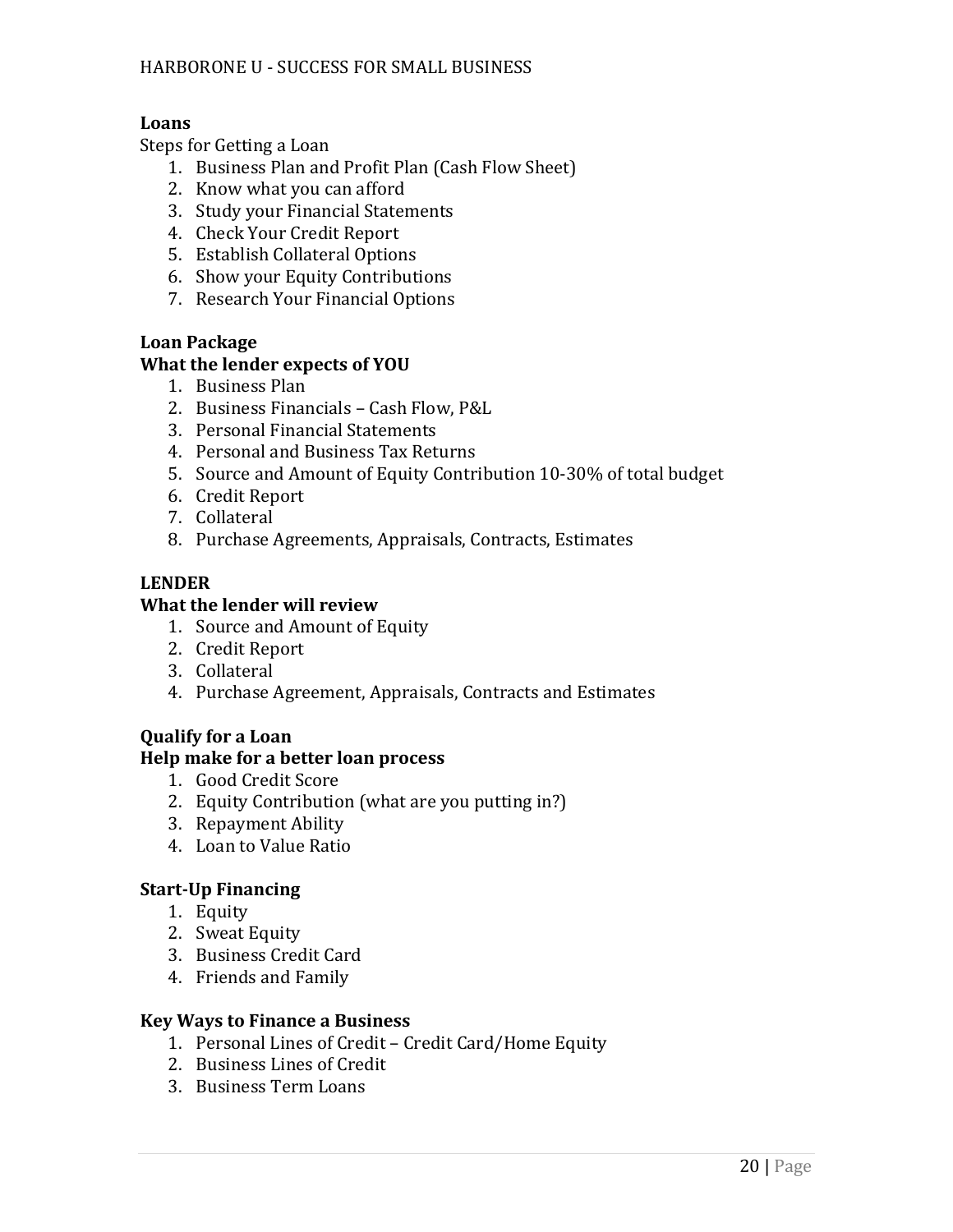# **Loans**

Steps for Getting a Loan

- 1. Business Plan and Profit Plan (Cash Flow Sheet)
- 2. Know what you can afford
- 3. Study your Financial Statements
- 4. Check Your Credit Report
- 5. Establish Collateral Options
- 6. Show your Equity Contributions
- 7. Research Your Financial Options

# **Loan Package**

# **What the lender expects of YOU**

- 1. Business Plan
- 2. Business Financials Cash Flow, P&L
- 3. Personal Financial Statements
- 4. Personal and Business Tax Returns
- 5. Source and Amount of Equity Contribution 10-30% of total budget
- 6. Credit Report
- 7. Collateral
- 8. Purchase Agreements, Appraisals, Contracts, Estimates

# **LENDER**

#### **What the lender will review**

- 1. Source and Amount of Equity
- 2. Credit Report
- 3. Collateral
- 4. Purchase Agreement, Appraisals, Contracts and Estimates

# **Qualify for a Loan Help make for a better loan process**

- 1. Good Credit Score
- 2. Equity Contribution (what are you putting in?)
- 3. Repayment Ability
- 4. Loan to Value Ratio

# **Start-Up Financing**

- 1. Equity
- 2. Sweat Equity
- 3. Business Credit Card
- 4. Friends and Family

# **Key Ways to Finance a Business**

- 1. Personal Lines of Credit Credit Card/Home Equity
- 2. Business Lines of Credit
- 3. Business Term Loans